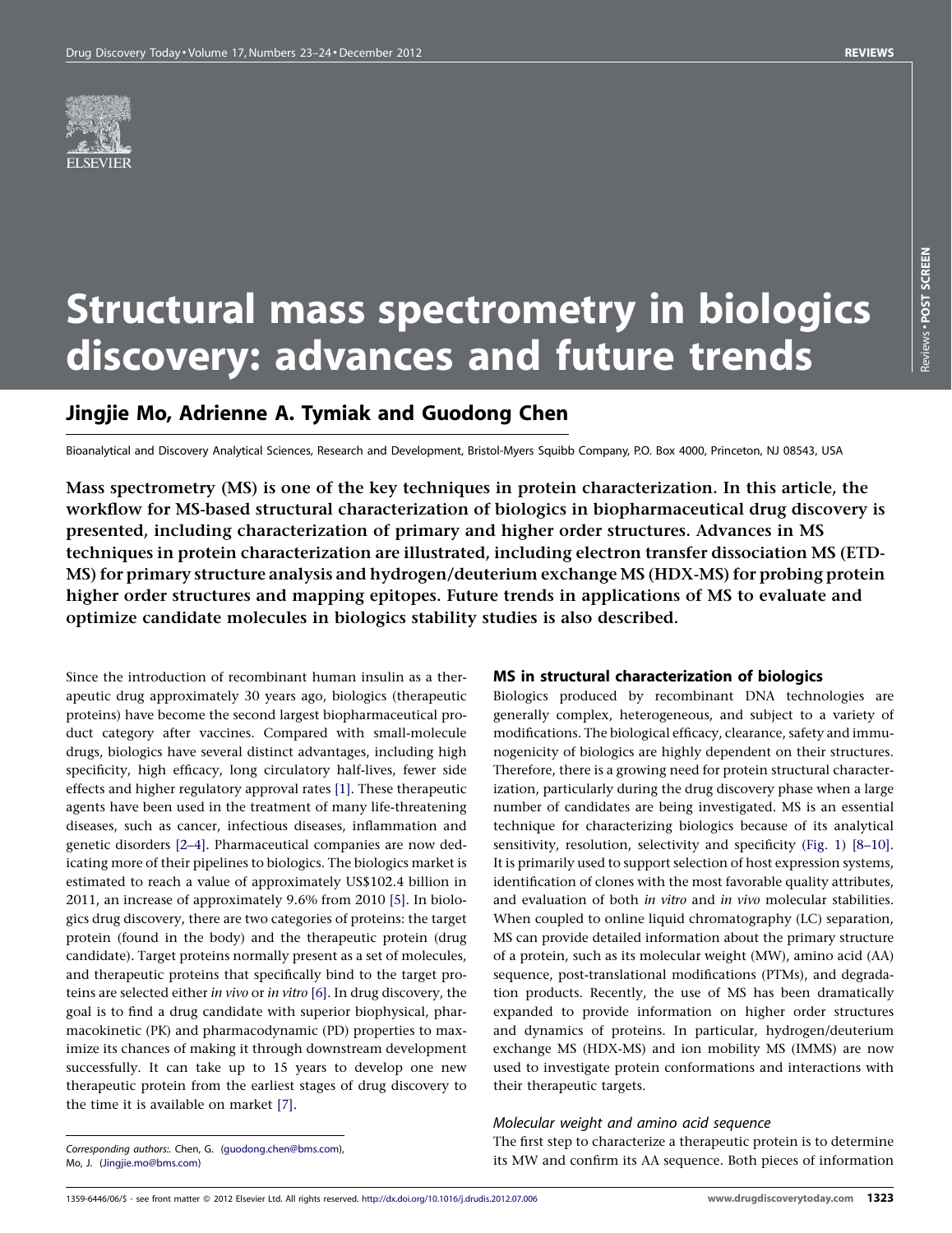

# Structural mass spectrometry in biologics discovery: advances and future trends

# Jingjie Mo, Adrienne A. Tymiak and Guodong Chen

Bioanalytical and Discovery Analytical Sciences, Research and Development, Bristol-Myers Squibb Company, P.O. Box 4000, Princeton, NJ 08543, USA

Mass spectrometry (MS) is one of the key techniques in protein characterization. In this article, the workflow for MS-based structural characterization of biologics in biopharmaceutical drug discovery is presented, including characterization of primary and higher order structures. Advances in MS techniques in protein characterization are illustrated, including electron transfer dissociation MS (ETD-MS) for primary structure analysis and hydrogen/deuterium exchange MS (HDX-MS) for probing protein higher order structures and mapping epitopes. Future trends in applications of MS to evaluate and optimize candidate molecules in biologics stability studies is also described.

Since the introduction of recombinant human insulin as a therapeutic drug approximately 30 years ago, biologics (therapeutic proteins) have become the second largest biopharmaceutical product category after vaccines. Compared with small-molecule drugs, biologics have several distinct advantages, including high specificity, high efficacy, long circulatory half-lives, fewer side effects and higher regulatory approval rates [\[1\].](#page-6-0) These therapeutic agents have been used in the treatment of many life-threatening diseases, such as cancer, infectious diseases, inflammation and genetic disorders [\[2–4\]](#page-6-0). Pharmaceutical companies are now dedicating more of their pipelines to biologics. The biologics market is estimated to reach a value of approximately US\$102.4 billion in 2011, an increase of approximately 9.6% from 2010 [\[5\]](#page-6-0). In biologics drug discovery, there are two categories of proteins: the target protein (found in the body) and the therapeutic protein (drug candidate). Target proteins normally present as a set of molecules, and therapeutic proteins that specifically bind to the target proteins are selected either in vivo or in vitro [\[6\].](#page-6-0) In drug discovery, the goal is to find a drug candidate with superior biophysical, pharmacokinetic (PK) and pharmacodynamic (PD) properties to maximize its chances of making it through downstream development successfully. It can take up to 15 years to develop one new therapeutic protein from the earliest stages of drug discovery to the time it is available on market [\[7\].](#page-6-0)

# MS in structural characterization of biologics

Biologics produced by recombinant DNA technologies are generally complex, heterogeneous, and subject to a variety of modifications. The biological efficacy, clearance, safety and immunogenicity of biologics are highly dependent on their structures. Therefore, there is a growing need for protein structural characterization, particularly during the drug discovery phase when a large number of candidates are being investigated. MS is an essential technique for characterizing biologics because of its analytical sensitivity, resolution, selectivity and specificity [\(Fig.](#page-1-0) 1) [\[8–10\].](#page-6-0) It is primarily used to support selection of host expression systems, identification of clones with the most favorable quality attributes, and evaluation of both in vitro and in vivo molecular stabilities. When coupled to online liquid chromatography (LC) separation, MS can provide detailed information about the primary structure of a protein, such as its molecular weight (MW), amino acid (AA) sequence, post-translational modifications (PTMs), and degradation products. Recently, the use of MS has been dramatically expanded to provide information on higher order structures and dynamics of proteins. In particular, hydrogen/deuterium exchange MS (HDX-MS) and ion mobility MS (IMMS) are now used to investigate protein conformations and interactions with their therapeutic targets.

# Molecular weight and amino acid sequence

The first step to characterize a therapeutic protein is to determine its MW and confirm its AA sequence. Both pieces of information

Corresponding authors:. Chen, G. [\(guodong.chen@bms.com](mailto:guodong.chen@bms.com)), Mo, J. [\(Jingjie.mo@bms.com](mailto:Jingjie.mo@bms.com))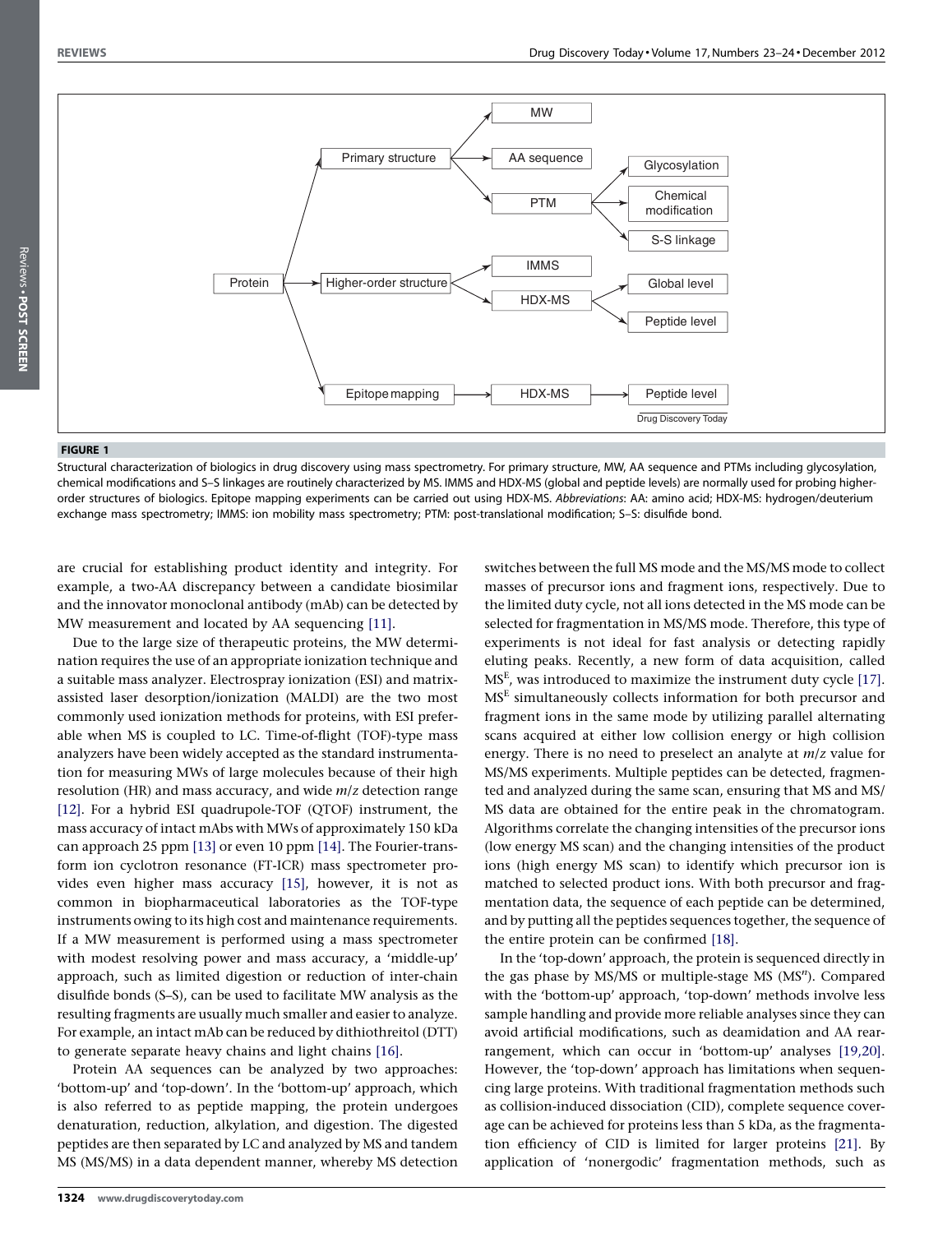<span id="page-1-0"></span>

# FIGURE 1

Structural characterization of biologics in drug discovery using mass spectrometry. For primary structure, MW, AA sequence and PTMs including glycosylation, chemical modifications and S–S linkages are routinely characterized by MS. IMMS and HDX-MS (global and peptide levels) are normally used for probing higherorder structures of biologics. Epitope mapping experiments can be carried out using HDX-MS. Abbreviations: AA: amino acid; HDX-MS: hydrogen/deuterium exchange mass spectrometry; IMMS: ion mobility mass spectrometry; PTM: post-translational modification; S–S: disulfide bond.

are crucial for establishing product identity and integrity. For example, a two-AA discrepancy between a candidate biosimilar and the innovator monoclonal antibody (mAb) can be detected by MW measurement and located by AA sequencing [\[11\]](#page-6-0).

Due to the large size of therapeutic proteins, the MW determination requires the use of an appropriate ionization technique and a suitable mass analyzer. Electrospray ionization (ESI) and matrixassisted laser desorption/ionization (MALDI) are the two most commonly used ionization methods for proteins, with ESI preferable when MS is coupled to LC. Time-of-flight (TOF)-type mass analyzers have been widely accepted as the standard instrumentation for measuring MWs of large molecules because of their high resolution (HR) and mass accuracy, and wide  $m/z$  detection range [\[12\]](#page-6-0). For a hybrid ESI quadrupole-TOF (QTOF) instrument, the mass accuracy of intact mAbs with MWs of approximately 150 kDa can approach 25 ppm [\[13\]](#page-6-0) or even 10 ppm [\[14\].](#page-6-0) The Fourier-transform ion cyclotron resonance (FT-ICR) mass spectrometer provides even higher mass accuracy [\[15\],](#page-6-0) however, it is not as common in biopharmaceutical laboratories as the TOF-type instruments owing to its high cost and maintenance requirements. If a MW measurement is performed using a mass spectrometer with modest resolving power and mass accuracy, a 'middle-up' approach, such as limited digestion or reduction of inter-chain disulfide bonds (S–S), can be used to facilitate MW analysis as the resulting fragments are usually much smaller and easier to analyze. For example, an intact mAb can be reduced by dithiothreitol (DTT) to generate separate heavy chains and light chains [\[16\]](#page-6-0).

Protein AA sequences can be analyzed by two approaches: 'bottom-up' and 'top-down'. In the 'bottom-up' approach, which is also referred to as peptide mapping, the protein undergoes denaturation, reduction, alkylation, and digestion. The digested peptides are then separated by LC and analyzed by MS and tandem MS (MS/MS) in a data dependent manner, whereby MS detection

switches between the full MS mode and the MS/MS mode to collect masses of precursor ions and fragment ions, respectively. Due to the limited duty cycle, not all ions detected in the MS mode can be selected for fragmentation in MS/MS mode. Therefore, this type of experiments is not ideal for fast analysis or detecting rapidly eluting peaks. Recently, a new form of data acquisition, called  $MS<sup>E</sup>$ , was introduced to maximize the instrument duty cycle [\[17\]](#page-6-0). MS<sup>E</sup> simultaneously collects information for both precursor and fragment ions in the same mode by utilizing parallel alternating scans acquired at either low collision energy or high collision energy. There is no need to preselect an analyte at  $m/z$  value for MS/MS experiments. Multiple peptides can be detected, fragmented and analyzed during the same scan, ensuring that MS and MS/ MS data are obtained for the entire peak in the chromatogram. Algorithms correlate the changing intensities of the precursor ions (low energy MS scan) and the changing intensities of the product ions (high energy MS scan) to identify which precursor ion is matched to selected product ions. With both precursor and fragmentation data, the sequence of each peptide can be determined, and by putting all the peptides sequences together, the sequence of the entire protein can be confirmed [\[18\]](#page-6-0).

In the 'top-down' approach, the protein is sequenced directly in the gas phase by MS/MS or multiple-stage MS (MS"). Compared with the 'bottom-up' approach, 'top-down' methods involve less sample handling and provide more reliable analyses since they can avoid artificial modifications, such as deamidation and AA rearrangement, which can occur in 'bottom-up' analyses [\[19,20\]](#page-6-0). However, the 'top-down' approach has limitations when sequencing large proteins. With traditional fragmentation methods such as collision-induced dissociation (CID), complete sequence coverage can be achieved for proteins less than 5 kDa, as the fragmentation efficiency of CID is limited for larger proteins [\[21\]](#page-6-0). By application of 'nonergodic' fragmentation methods, such as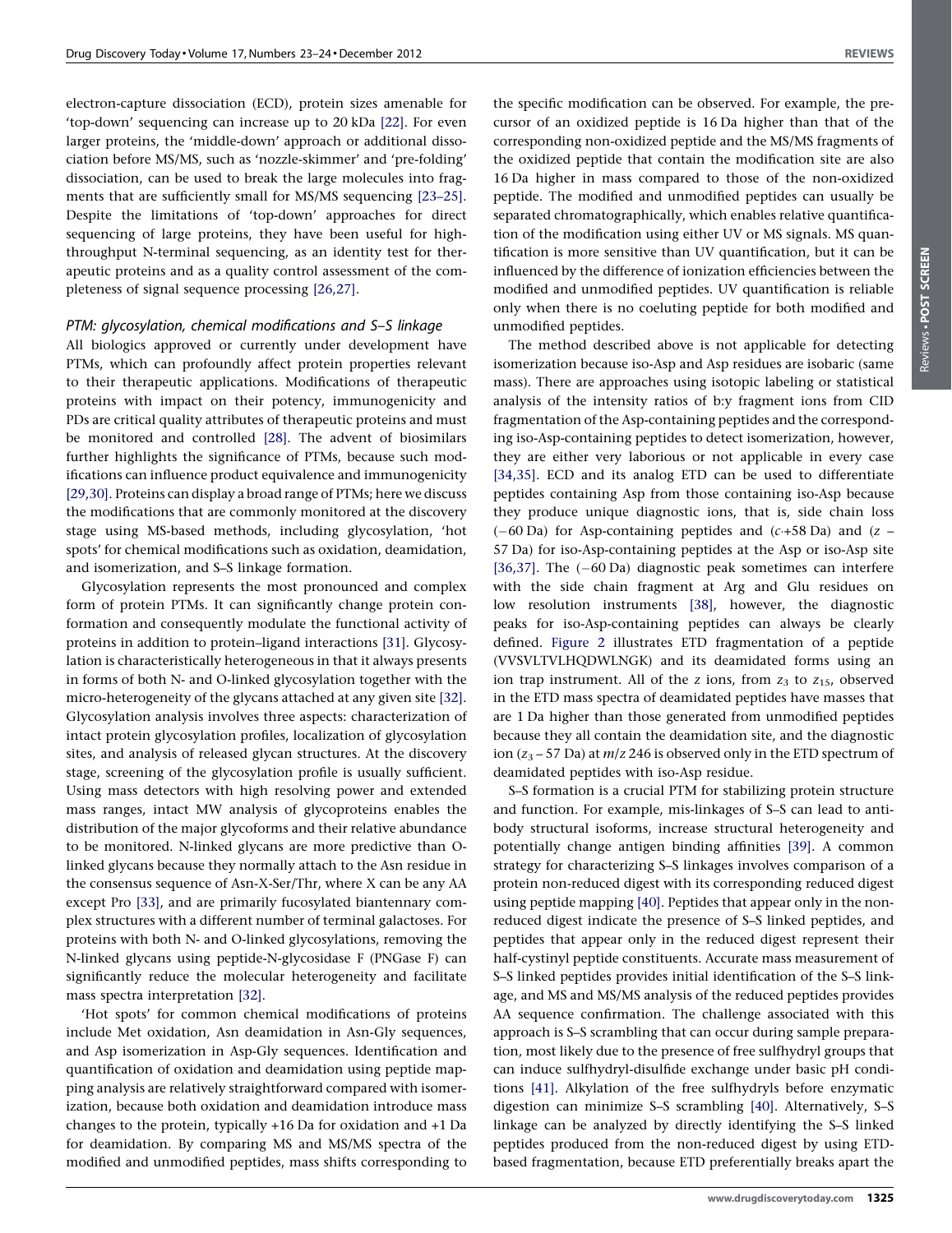electron-capture dissociation (ECD), protein sizes amenable for 'top-down' sequencing can increase up to 20 kDa [\[22\]](#page-6-0). For even larger proteins, the 'middle-down' approach or additional dissociation before MS/MS, such as 'nozzle-skimmer' and 'pre-folding' dissociation, can be used to break the large molecules into fragments that are sufficiently small for MS/MS sequencing [\[23–25\].](#page-6-0) Despite the limitations of 'top-down' approaches for direct sequencing of large proteins, they have been useful for highthroughput N-terminal sequencing, as an identity test for therapeutic proteins and as a quality control assessment of the completeness of signal sequence processing [\[26,27\]](#page-6-0).

# PTM: glycosylation, chemical modifications and S–S linkage

All biologics approved or currently under development have PTMs, which can profoundly affect protein properties relevant to their therapeutic applications. Modifications of therapeutic proteins with impact on their potency, immunogenicity and PDs are critical quality attributes of therapeutic proteins and must be monitored and controlled [\[28\].](#page-6-0) The advent of biosimilars further highlights the significance of PTMs, because such modifications can influence product equivalence and immunogenicity [\[29,30\]](#page-6-0). Proteins can display a broad range of PTMs; here we discuss the modifications that are commonly monitored at the discovery stage using MS-based methods, including glycosylation, 'hot spots' for chemical modifications such as oxidation, deamidation, and isomerization, and S–S linkage formation.

Glycosylation represents the most pronounced and complex form of protein PTMs. It can significantly change protein conformation and consequently modulate the functional activity of proteins in addition to protein–ligand interactions [\[31\]](#page-6-0). Glycosylation is characteristically heterogeneous in that it always presents in forms of both N- and O-linked glycosylation together with the micro-heterogeneity of the glycans attached at any given site [\[32\].](#page-6-0) Glycosylation analysis involves three aspects: characterization of intact protein glycosylation profiles, localization of glycosylation sites, and analysis of released glycan structures. At the discovery stage, screening of the glycosylation profile is usually sufficient. Using mass detectors with high resolving power and extended mass ranges, intact MW analysis of glycoproteins enables the distribution of the major glycoforms and their relative abundance to be monitored. N-linked glycans are more predictive than Olinked glycans because they normally attach to the Asn residue in the consensus sequence of Asn-X-Ser/Thr, where X can be any AA except Pro [\[33\],](#page-6-0) and are primarily fucosylated biantennary complex structures with a different number of terminal galactoses. For proteins with both N- and O-linked glycosylations, removing the N-linked glycans using peptide-N-glycosidase F (PNGase F) can significantly reduce the molecular heterogeneity and facilitate mass spectra interpretation [\[32\].](#page-6-0)

'Hot spots' for common chemical modifications of proteins include Met oxidation, Asn deamidation in Asn-Gly sequences, and Asp isomerization in Asp-Gly sequences. Identification and quantification of oxidation and deamidation using peptide mapping analysis are relatively straightforward compared with isomerization, because both oxidation and deamidation introduce mass changes to the protein, typically +16 Da for oxidation and +1 Da for deamidation. By comparing MS and MS/MS spectra of the modified and unmodified peptides, mass shifts corresponding to

the specific modification can be observed. For example, the precursor of an oxidized peptide is 16 Da higher than that of the corresponding non-oxidized peptide and the MS/MS fragments of the oxidized peptide that contain the modification site are also 16 Da higher in mass compared to those of the non-oxidized peptide. The modified and unmodified peptides can usually be separated chromatographically, which enables relative quantification of the modification using either UV or MS signals. MS quantification is more sensitive than UV quantification, but it can be influenced by the difference of ionization efficiencies between the modified and unmodified peptides. UV quantification is reliable only when there is no coeluting peptide for both modified and unmodified peptides.

The method described above is not applicable for detecting isomerization because iso-Asp and Asp residues are isobaric (same mass). There are approaches using isotopic labeling or statistical analysis of the intensity ratios of b:y fragment ions from CID fragmentation of the Asp-containing peptides and the corresponding iso-Asp-containing peptides to detect isomerization, however, they are either very laborious or not applicable in every case [\[34,35\]](#page-6-0). ECD and its analog ETD can be used to differentiate peptides containing Asp from those containing iso-Asp because they produce unique diagnostic ions, that is, side chain loss  $(-60 \text{ Da})$  for Asp-containing peptides and  $(c+58 \text{ Da})$  and  $(z -$ 57 Da) for iso-Asp-containing peptides at the Asp or iso-Asp site [\[36,37\]](#page-6-0). The  $(-60 \text{ Da})$  diagnostic peak sometimes can interfere with the side chain fragment at Arg and Glu residues on low resolution instruments [\[38\]](#page-6-0), however, the diagnostic peaks for iso-Asp-containing peptides can always be clearly defined. [Figure](#page-3-0) 2 illustrates ETD fragmentation of a peptide (VVSVLTVLHQDWLNGK) and its deamidated forms using an ion trap instrument. All of the z ions, from  $z_3$  to  $z_{15}$ , observed in the ETD mass spectra of deamidated peptides have masses that are 1 Da higher than those generated from unmodified peptides because they all contain the deamidation site, and the diagnostic ion ( $z_3$  – 57 Da) at  $m/z$  246 is observed only in the ETD spectrum of deamidated peptides with iso-Asp residue.

S–S formation is a crucial PTM for stabilizing protein structure and function. For example, mis-linkages of S–S can lead to antibody structural isoforms, increase structural heterogeneity and potentially change antigen binding affinities [\[39\]](#page-6-0). A common strategy for characterizing S–S linkages involves comparison of a protein non-reduced digest with its corresponding reduced digest using peptide mapping [\[40\]](#page-6-0). Peptides that appear only in the nonreduced digest indicate the presence of S–S linked peptides, and peptides that appear only in the reduced digest represent their half-cystinyl peptide constituents. Accurate mass measurement of S–S linked peptides provides initial identification of the S–S linkage, and MS and MS/MS analysis of the reduced peptides provides AA sequence confirmation. The challenge associated with this approach is S–S scrambling that can occur during sample preparation, most likely due to the presence of free sulfhydryl groups that can induce sulfhydryl-disulfide exchange under basic pH conditions [\[41\].](#page-6-0) Alkylation of the free sulfhydryls before enzymatic digestion can minimize S–S scrambling [\[40\]](#page-6-0). Alternatively, S–S linkage can be analyzed by directly identifying the S–S linked peptides produced from the non-reduced digest by using ETDbased fragmentation, because ETD preferentially breaks apart the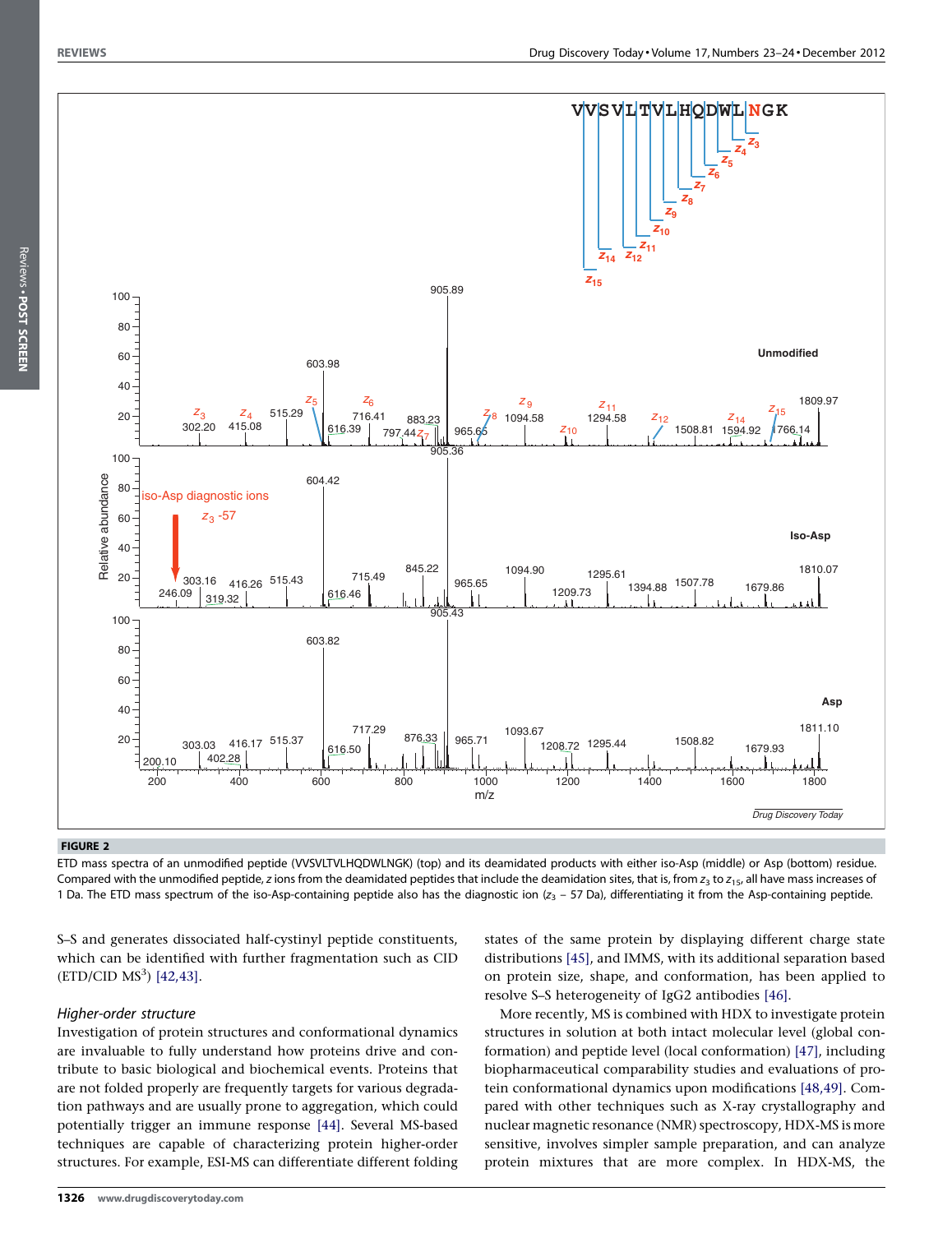<span id="page-3-0"></span>

### FIGURE 2

ETD mass spectra of an unmodified peptide (VVSVLTVLHQDWLNGK) (top) and its deamidated products with either iso-Asp (middle) or Asp (bottom) residue. Compared with the unmodified peptide, z ions from the deamidated peptides that include the deamidation sites, that is, from  $z_3$  to  $z_1$ <sub>5</sub>, all have mass increases of 1 Da. The ETD mass spectrum of the iso-Asp-containing peptide also has the diagnostic ion  $(z<sub>3</sub> - 57$  Da), differentiating it from the Asp-containing peptide.

S–S and generates dissociated half-cystinyl peptide constituents, which can be identified with further fragmentation such as CID  $(ETD/CID MS<sup>3</sup>) [42, 43].$ 

# Higher-order structure

Investigation of protein structures and conformational dynamics are invaluable to fully understand how proteins drive and contribute to basic biological and biochemical events. Proteins that are not folded properly are frequently targets for various degradation pathways and are usually prone to aggregation, which could potentially trigger an immune response [\[44\]](#page-6-0). Several MS-based techniques are capable of characterizing protein higher-order structures. For example, ESI-MS can differentiate different folding

states of the same protein by displaying different charge state distributions [\[45\],](#page-6-0) and IMMS, with its additional separation based on protein size, shape, and conformation, has been applied to resolve S–S heterogeneity of IgG2 antibodies [\[46\]](#page-6-0).

More recently, MS is combined with HDX to investigate protein structures in solution at both intact molecular level (global conformation) and peptide level (local conformation) [\[47\],](#page-6-0) including biopharmaceutical comparability studies and evaluations of protein conformational dynamics upon modifications [\[48,49\].](#page-6-0) Compared with other techniques such as X-ray crystallography and nuclear magnetic resonance (NMR) spectroscopy, HDX-MS is more sensitive, involves simpler sample preparation, and can analyze protein mixtures that are more complex. In HDX-MS, the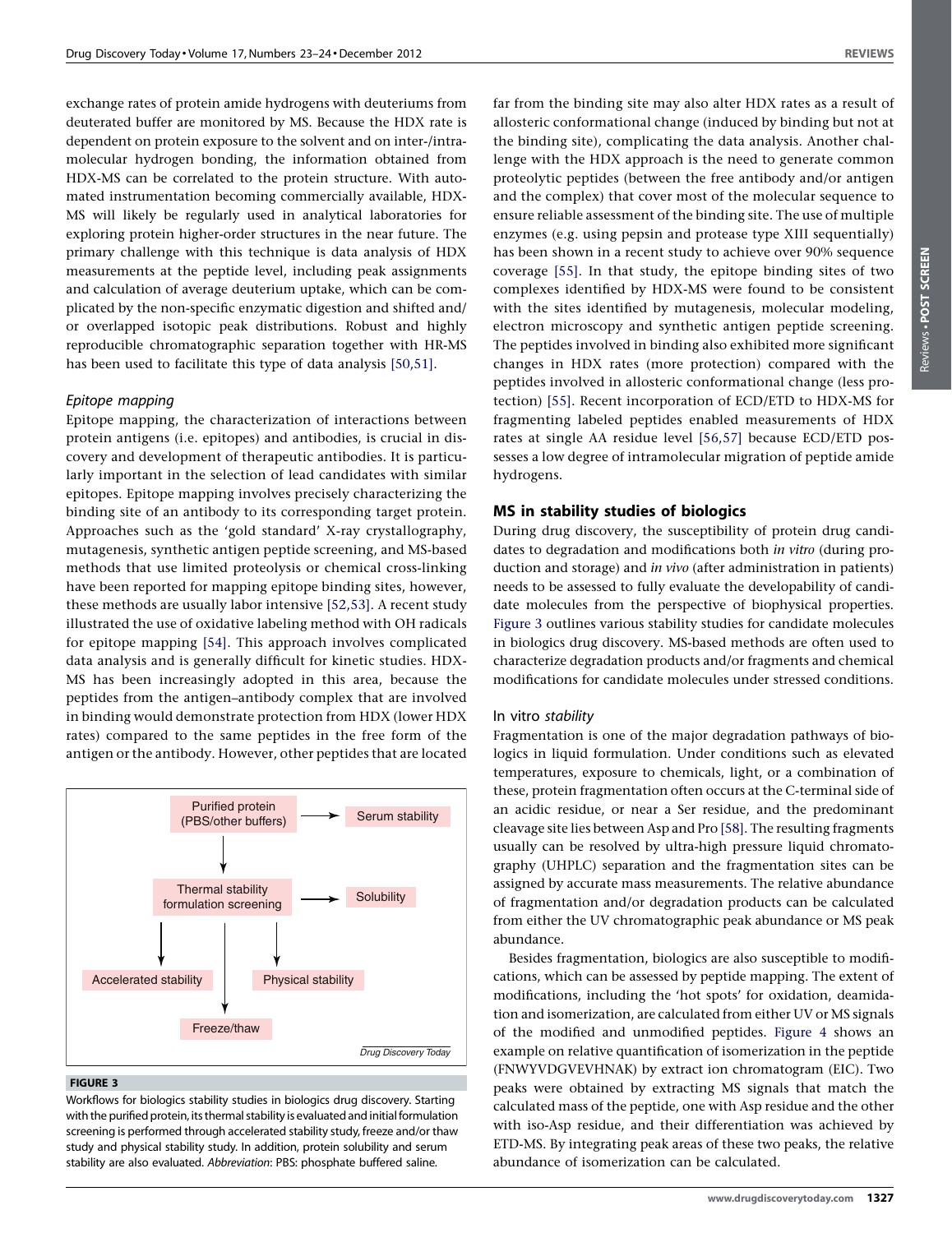exchange rates of protein amide hydrogens with deuteriums from deuterated buffer are monitored by MS. Because the HDX rate is dependent on protein exposure to the solvent and on inter-/intramolecular hydrogen bonding, the information obtained from HDX-MS can be correlated to the protein structure. With automated instrumentation becoming commercially available, HDX-MS will likely be regularly used in analytical laboratories for exploring protein higher-order structures in the near future. The primary challenge with this technique is data analysis of HDX measurements at the peptide level, including peak assignments and calculation of average deuterium uptake, which can be complicated by the non-specific enzymatic digestion and shifted and/ or overlapped isotopic peak distributions. Robust and highly reproducible chromatographic separation together with HR-MS has been used to facilitate this type of data analysis [\[50,51\].](#page-6-0)

### Epitope mapping

Epitope mapping, the characterization of interactions between protein antigens (i.e. epitopes) and antibodies, is crucial in discovery and development of therapeutic antibodies. It is particularly important in the selection of lead candidates with similar epitopes. Epitope mapping involves precisely characterizing the binding site of an antibody to its corresponding target protein. Approaches such as the 'gold standard' X-ray crystallography, mutagenesis, synthetic antigen peptide screening, and MS-based methods that use limited proteolysis or chemical cross-linking have been reported for mapping epitope binding sites, however, these methods are usually labor intensive [\[52,53\]](#page-6-0). A recent study illustrated the use of oxidative labeling method with OH radicals for epitope mapping [\[54\]](#page-6-0). This approach involves complicated data analysis and is generally difficult for kinetic studies. HDX-MS has been increasingly adopted in this area, because the peptides from the antigen–antibody complex that are involved in binding would demonstrate protection from HDX (lower HDX rates) compared to the same peptides in the free form of the antigen or the antibody. However, other peptides that are located



#### FIGURE 3

Workflows for biologics stability studies in biologics drug discovery. Starting with the purified protein, its thermal stability is evaluated and initial formulation screening is performed through accelerated stability study, freeze and/or thaw study and physical stability study. In addition, protein solubility and serum stability are also evaluated. Abbreviation: PBS: phosphate buffered saline.

far from the binding site may also alter HDX rates as a result of allosteric conformational change (induced by binding but not at the binding site), complicating the data analysis. Another challenge with the HDX approach is the need to generate common proteolytic peptides (between the free antibody and/or antigen and the complex) that cover most of the molecular sequence to ensure reliable assessment of the binding site. The use of multiple enzymes (e.g. using pepsin and protease type XIII sequentially) has been shown in a recent study to achieve over 90% sequence coverage [\[55\]](#page-6-0). In that study, the epitope binding sites of two complexes identified by HDX-MS were found to be consistent with the sites identified by mutagenesis, molecular modeling, electron microscopy and synthetic antigen peptide screening. The peptides involved in binding also exhibited more significant changes in HDX rates (more protection) compared with the peptides involved in allosteric conformational change (less protection) [\[55\].](#page-6-0) Recent incorporation of ECD/ETD to HDX-MS for fragmenting labeled peptides enabled measurements of HDX rates at single AA residue level [\[56,57\]](#page-6-0) because ECD/ETD possesses a low degree of intramolecular migration of peptide amide hydrogens.

#### MS in stability studies of biologics

During drug discovery, the susceptibility of protein drug candidates to degradation and modifications both in vitro (during production and storage) and in vivo (after administration in patients) needs to be assessed to fully evaluate the developability of candidate molecules from the perspective of biophysical properties. Figure 3 outlines various stability studies for candidate molecules in biologics drug discovery. MS-based methods are often used to characterize degradation products and/or fragments and chemical modifications for candidate molecules under stressed conditions.

#### In vitro stability

Fragmentation is one of the major degradation pathways of biologics in liquid formulation. Under conditions such as elevated temperatures, exposure to chemicals, light, or a combination of these, protein fragmentation often occurs at the C-terminal side of an acidic residue, or near a Ser residue, and the predominant cleavage site lies between Asp and Pro [\[58\].](#page-6-0) The resulting fragments usually can be resolved by ultra-high pressure liquid chromatography (UHPLC) separation and the fragmentation sites can be assigned by accurate mass measurements. The relative abundance of fragmentation and/or degradation products can be calculated from either the UV chromatographic peak abundance or MS peak abundance.

Besides fragmentation, biologics are also susceptible to modifications, which can be assessed by peptide mapping. The extent of modifications, including the 'hot spots' for oxidation, deamidation and isomerization, are calculated from either UV or MS signals of the modified and unmodified peptides. [Figure](#page-5-0) 4 shows an example on relative quantification of isomerization in the peptide (FNWYVDGVEVHNAK) by extract ion chromatogram (EIC). Two peaks were obtained by extracting MS signals that match the calculated mass of the peptide, one with Asp residue and the other with iso-Asp residue, and their differentiation was achieved by ETD-MS. By integrating peak areas of these two peaks, the relative abundance of isomerization can be calculated.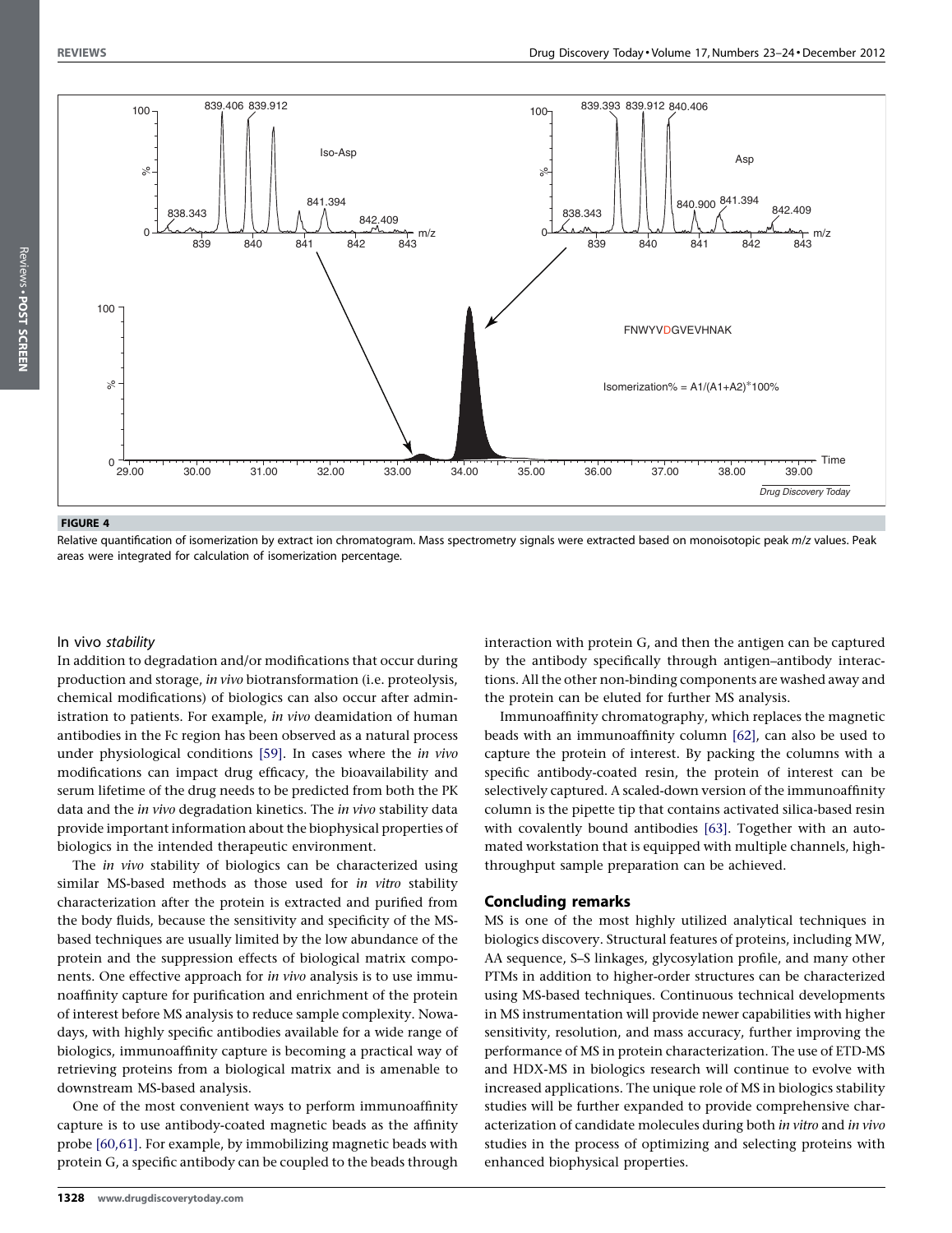<span id="page-5-0"></span>

FIGURE 4

Relative quantification of isomerization by extract ion chromatogram. Mass spectrometry signals were extracted based on monoisotopic peak m/z values. Peak areas were integrated for calculation of isomerization percentage.

# In vivo stability

In addition to degradation and/or modifications that occur during production and storage, in vivo biotransformation (i.e. proteolysis, chemical modifications) of biologics can also occur after administration to patients. For example, in vivo deamidation of human antibodies in the Fc region has been observed as a natural process under physiological conditions [\[59\].](#page-7-0) In cases where the *in vivo* modifications can impact drug efficacy, the bioavailability and serum lifetime of the drug needs to be predicted from both the PK data and the *in vivo* degradation kinetics. The *in vivo* stability data provide important information about the biophysical properties of biologics in the intended therapeutic environment.

The in vivo stability of biologics can be characterized using similar MS-based methods as those used for in vitro stability characterization after the protein is extracted and purified from the body fluids, because the sensitivity and specificity of the MSbased techniques are usually limited by the low abundance of the protein and the suppression effects of biological matrix components. One effective approach for in vivo analysis is to use immunoaffinity capture for purification and enrichment of the protein of interest before MS analysis to reduce sample complexity. Nowadays, with highly specific antibodies available for a wide range of biologics, immunoaffinity capture is becoming a practical way of retrieving proteins from a biological matrix and is amenable to downstream MS-based analysis.

One of the most convenient ways to perform immunoaffinity capture is to use antibody-coated magnetic beads as the affinity probe [\[60,61\]](#page-7-0). For example, by immobilizing magnetic beads with protein G, a specific antibody can be coupled to the beads through

interaction with protein G, and then the antigen can be captured by the antibody specifically through antigen–antibody interactions. All the other non-binding components are washed away and the protein can be eluted for further MS analysis.

Immunoaffinity chromatography, which replaces the magnetic beads with an immunoaffinity column [\[62\],](#page-7-0) can also be used to capture the protein of interest. By packing the columns with a specific antibody-coated resin, the protein of interest can be selectively captured. A scaled-down version of the immunoaffinity column is the pipette tip that contains activated silica-based resin with covalently bound antibodies [\[63\]](#page-7-0). Together with an automated workstation that is equipped with multiple channels, highthroughput sample preparation can be achieved.

# Concluding remarks

MS is one of the most highly utilized analytical techniques in biologics discovery. Structural features of proteins, including MW, AA sequence, S–S linkages, glycosylation profile, and many other PTMs in addition to higher-order structures can be characterized using MS-based techniques. Continuous technical developments in MS instrumentation will provide newer capabilities with higher sensitivity, resolution, and mass accuracy, further improving the performance of MS in protein characterization. The use of ETD-MS and HDX-MS in biologics research will continue to evolve with increased applications. The unique role of MS in biologics stability studies will be further expanded to provide comprehensive characterization of candidate molecules during both in vitro and in vivo studies in the process of optimizing and selecting proteins with enhanced biophysical properties.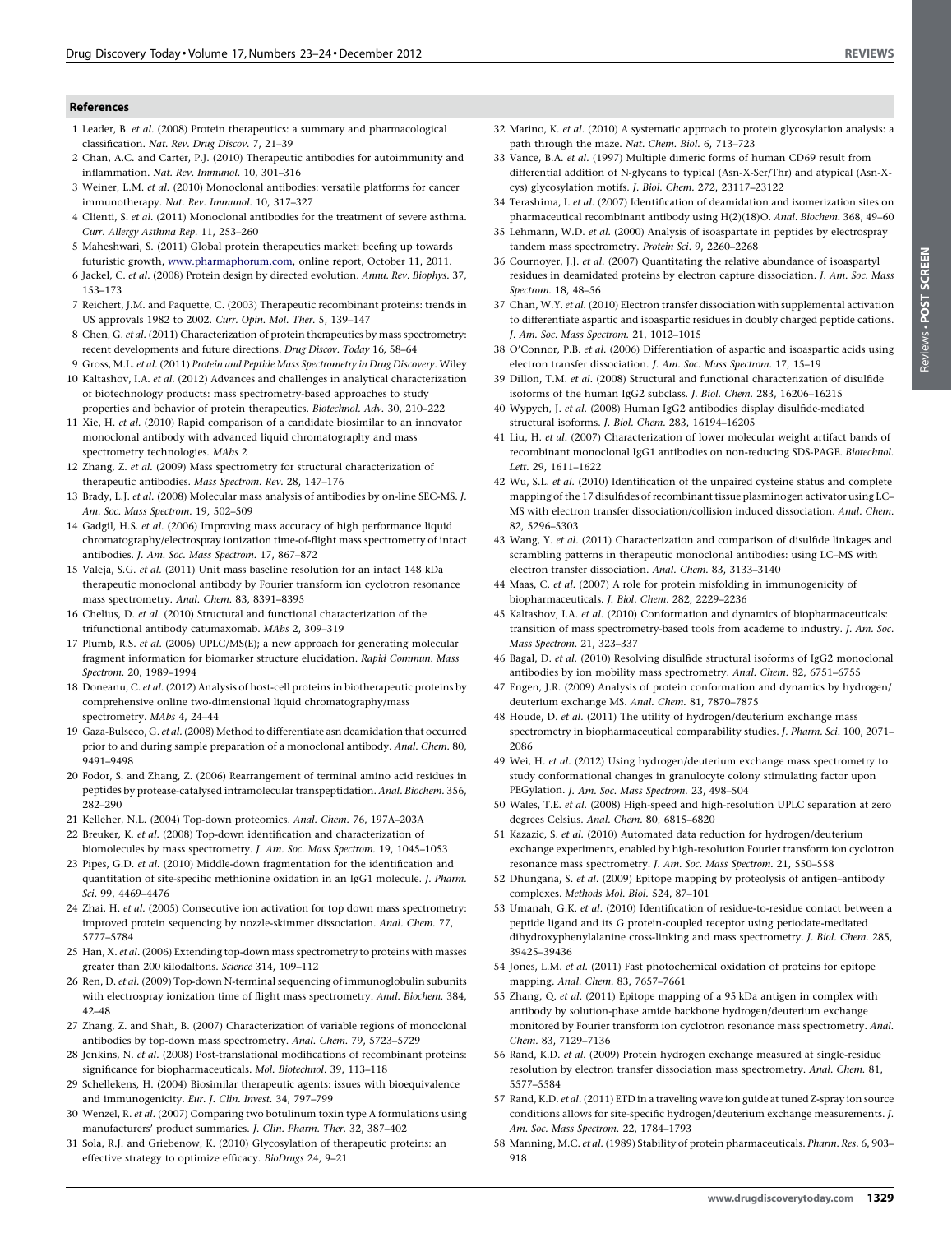- <span id="page-6-0"></span>1 Leader, B. et al. (2008) Protein therapeutics: a summary and pharmacological classification. Nat. Rev. Drug Discov. 7, 21–39
- 2 Chan, A.C. and Carter, P.J. (2010) Therapeutic antibodies for autoimmunity and inflammation. Nat. Rev. Immunol. 10, 301–316
- 3 Weiner, L.M. et al. (2010) Monoclonal antibodies: versatile platforms for cancer immunotherapy. Nat. Rev. Immunol. 10, 317–327
- 4 Clienti, S. et al. (2011) Monoclonal antibodies for the treatment of severe asthma. Curr. Allergy Asthma Rep. 11, 253–260
- 5 Maheshwari, S. (2011) Global protein therapeutics market: beefing up towards futuristic growth, [www.pharmaphorum.com](http://www.pharmaphorum.com/), online report, October 11, 2011.
- 6 Jackel, C. et al. (2008) Protein design by directed evolution. Annu. Rev. Biophys. 37, 153–173
- 7 Reichert, J.M. and Paquette, C. (2003) Therapeutic recombinant proteins: trends in US approvals 1982 to 2002. Curr. Opin. Mol. Ther. 5, 139–147
- 8 Chen, G. et al. (2011) Characterization of protein therapeutics by mass spectrometry: recent developments and future directions. Drug Discov. Today 16, 58–64
- 9 Gross, M.L. et al. (2011) Protein and Peptide Mass Spectrometry in Drug Discovery. Wiley 10 Kaltashov, I.A. et al. (2012) Advances and challenges in analytical characterization of biotechnology products: mass spectrometry-based approaches to study
- properties and behavior of protein therapeutics. Biotechnol. Adv. 30, 210–222 11 Xie, H. et al. (2010) Rapid comparison of a candidate biosimilar to an innovator monoclonal antibody with advanced liquid chromatography and mass spectrometry technologies. MAbs 2
- 12 Zhang, Z. et al. (2009) Mass spectrometry for structural characterization of therapeutic antibodies. Mass Spectrom. Rev. 28, 147–176
- 13 Brady, L.J. et al. (2008) Molecular mass analysis of antibodies by on-line SEC-MS. J. Am. Soc. Mass Spectrom. 19, 502–509
- 14 Gadgil, H.S. et al. (2006) Improving mass accuracy of high performance liquid chromatography/electrospray ionization time-of-flight mass spectrometry of intact antibodies. J. Am. Soc. Mass Spectrom. 17, 867–872
- 15 Valeja, S.G. et al. (2011) Unit mass baseline resolution for an intact 148 kDa therapeutic monoclonal antibody by Fourier transform ion cyclotron resonance mass spectrometry. Anal. Chem. 83, 8391–8395
- 16 Chelius, D. et al. (2010) Structural and functional characterization of the trifunctional antibody catumaxomab. MAbs 2, 309–319
- 17 Plumb, R.S. et al. (2006) UPLC/MS(E); a new approach for generating molecular fragment information for biomarker structure elucidation. Rapid Commun. Mass Spectrom. 20, 1989–1994
- 18 Doneanu, C. et al. (2012) Analysis of host-cell proteins in biotherapeutic proteins by comprehensive online two-dimensional liquid chromatography/mass spectrometry. MAbs 4, 24–44
- 19 Gaza-Bulseco, G. et al. (2008) Method to differentiate asn deamidation that occurred prior to and during sample preparation of a monoclonal antibody. Anal. Chem. 80, 9491–9498
- 20 Fodor, S. and Zhang, Z. (2006) Rearrangement of terminal amino acid residues in peptides by protease-catalysed intramolecular transpeptidation. Anal. Biochem. 356, 282–290
- 21 Kelleher, N.L. (2004) Top-down proteomics. Anal. Chem. 76, 197A–203A
- 22 Breuker, K. et al. (2008) Top-down identification and characterization of biomolecules by mass spectrometry. J. Am. Soc. Mass Spectrom. 19, 1045–1053
- 23 Pipes, G.D. et al. (2010) Middle-down fragmentation for the identification and quantitation of site-specific methionine oxidation in an IgG1 molecule. J. Pharm. Sci. 99, 4469–4476
- 24 Zhai, H. et al. (2005) Consecutive ion activation for top down mass spectrometry: improved protein sequencing by nozzle-skimmer dissociation. Anal. Chem. 77, 5777–5784
- 25 Han, X. et al. (2006) Extending top-down mass spectrometry to proteins with masses greater than 200 kilodaltons. Science 314, 109–112
- 26 Ren, D. et al. (2009) Top-down N-terminal sequencing of immunoglobulin subunits with electrospray ionization time of flight mass spectrometry. Anal. Biochem. 384, 42–48
- 27 Zhang, Z. and Shah, B. (2007) Characterization of variable regions of monoclonal antibodies by top-down mass spectrometry. Anal. Chem. 79, 5723–5729
- 28 Jenkins, N. et al. (2008) Post-translational modifications of recombinant proteins: significance for biopharmaceuticals. Mol. Biotechnol. 39, 113–118
- 29 Schellekens, H. (2004) Biosimilar therapeutic agents: issues with bioequivalence and immunogenicity. Eur. J. Clin. Invest. 34, 797–799
- 30 Wenzel, R. et al. (2007) Comparing two botulinum toxin type A formulations using manufacturers' product summaries. J. Clin. Pharm. Ther. 32, 387–402
- 31 Sola, R.J. and Griebenow, K. (2010) Glycosylation of therapeutic proteins: an effective strategy to optimize efficacy. BioDrugs 24, 9–21
- 32 Marino, K. et al. (2010) A systematic approach to protein glycosylation analysis: a path through the maze. Nat. Chem. Biol. 6, 713–723
- 33 Vance, B.A. et al. (1997) Multiple dimeric forms of human CD69 result from differential addition of N-glycans to typical (Asn-X-Ser/Thr) and atypical (Asn-Xcys) glycosylation motifs. J. Biol. Chem. 272, 23117–23122
- 34 Terashima, I. et al. (2007) Identification of deamidation and isomerization sites on pharmaceutical recombinant antibody using H(2)(18)O. Anal. Biochem. 368, 49–60
- 35 Lehmann, W.D. et al. (2000) Analysis of isoaspartate in peptides by electrospray tandem mass spectrometry. Protein Sci. 9, 2260–2268
- 36 Cournoyer, J.J. et al. (2007) Quantitating the relative abundance of isoaspartyl residues in deamidated proteins by electron capture dissociation. J. Am. Soc. Mass Spectrom. 18, 48–56
- 37 Chan, W.Y. et al. (2010) Electron transfer dissociation with supplemental activation to differentiate aspartic and isoaspartic residues in doubly charged peptide cations. J. Am. Soc. Mass Spectrom. 21, 1012–1015
- 38 O'Connor, P.B. et al. (2006) Differentiation of aspartic and isoaspartic acids using electron transfer dissociation. J. Am. Soc. Mass Spectrom. 17, 15–19
- 39 Dillon, T.M. et al. (2008) Structural and functional characterization of disulfide isoforms of the human IgG2 subclass. J. Biol. Chem. 283, 16206–16215
- 40 Wypych, J. et al. (2008) Human IgG2 antibodies display disulfide-mediated structural isoforms. J. Biol. Chem. 283, 16194–16205
- 41 Liu, H. et al. (2007) Characterization of lower molecular weight artifact bands of recombinant monoclonal IgG1 antibodies on non-reducing SDS-PAGE. Biotechnol. Lett. 29, 1611–1622
- 42 Wu, S.L. et al. (2010) Identification of the unpaired cysteine status and complete mapping of the 17 disulfides of recombinant tissue plasminogen activator using LC-MS with electron transfer dissociation/collision induced dissociation. Anal. Chem. 82, 5296–5303
- 43 Wang, Y. et al. (2011) Characterization and comparison of disulfide linkages and scrambling patterns in therapeutic monoclonal antibodies: using LC–MS with electron transfer dissociation. Anal. Chem. 83, 3133–3140
- 44 Maas, C. et al. (2007) A role for protein misfolding in immunogenicity of biopharmaceuticals. J. Biol. Chem. 282, 2229–2236
- 45 Kaltashov, I.A. et al. (2010) Conformation and dynamics of biopharmaceuticals: transition of mass spectrometry-based tools from academe to industry. J. Am. Soc. Mass Spectrom. 21, 323–337
- 46 Bagal, D. et al. (2010) Resolving disulfide structural isoforms of IgG2 monoclonal antibodies by ion mobility mass spectrometry. Anal. Chem. 82, 6751–6755
- 47 Engen, J.R. (2009) Analysis of protein conformation and dynamics by hydrogen/ deuterium exchange MS. Anal. Chem. 81, 7870–7875
- 48 Houde, D. et al. (2011) The utility of hydrogen/deuterium exchange mass spectrometry in biopharmaceutical comparability studies. *J. Pharm. Sci.* 100, 2071-2086
- 49 Wei, H. et al. (2012) Using hydrogen/deuterium exchange mass spectrometry to study conformational changes in granulocyte colony stimulating factor upon PEGylation. J. Am. Soc. Mass Spectrom. 23, 498–504
- 50 Wales, T.E. et al. (2008) High-speed and high-resolution UPLC separation at zero degrees Celsius. Anal. Chem. 80, 6815–6820
- 51 Kazazic, S. et al. (2010) Automated data reduction for hydrogen/deuterium exchange experiments, enabled by high-resolution Fourier transform ion cyclotron resonance mass spectrometry. J. Am. Soc. Mass Spectrom. 21, 550–558
- 52 Dhungana, S. et al. (2009) Epitope mapping by proteolysis of antigen–antibody complexes. Methods Mol. Biol. 524, 87–101
- 53 Umanah, G.K. et al. (2010) Identification of residue-to-residue contact between a peptide ligand and its G protein-coupled receptor using periodate-mediated dihydroxyphenylalanine cross-linking and mass spectrometry. J. Biol. Chem. 285, 39425–39436
- 54 Jones, L.M. et al. (2011) Fast photochemical oxidation of proteins for epitope mapping. Anal. Chem. 83, 7657–7661
- 55 Zhang, Q. et al. (2011) Epitope mapping of a 95 kDa antigen in complex with antibody by solution-phase amide backbone hydrogen/deuterium exchange monitored by Fourier transform ion cyclotron resonance mass spectrometry. Anal. Chem. 83, 7129–7136
- 56 Rand, K.D. et al. (2009) Protein hydrogen exchange measured at single-residue resolution by electron transfer dissociation mass spectrometry. Anal. Chem. 81, 5577–5584
- 57 Rand, K.D. et al. (2011) ETD in a traveling wave ion guide at tuned Z-spray ion source conditions allows for site-specific hydrogen/deuterium exchange measurements. J. Am. Soc. Mass Spectrom. 22, 1784–1793
- 58 Manning, M.C. et al. (1989) Stability of protein pharmaceuticals. Pharm. Res. 6, 903– 918